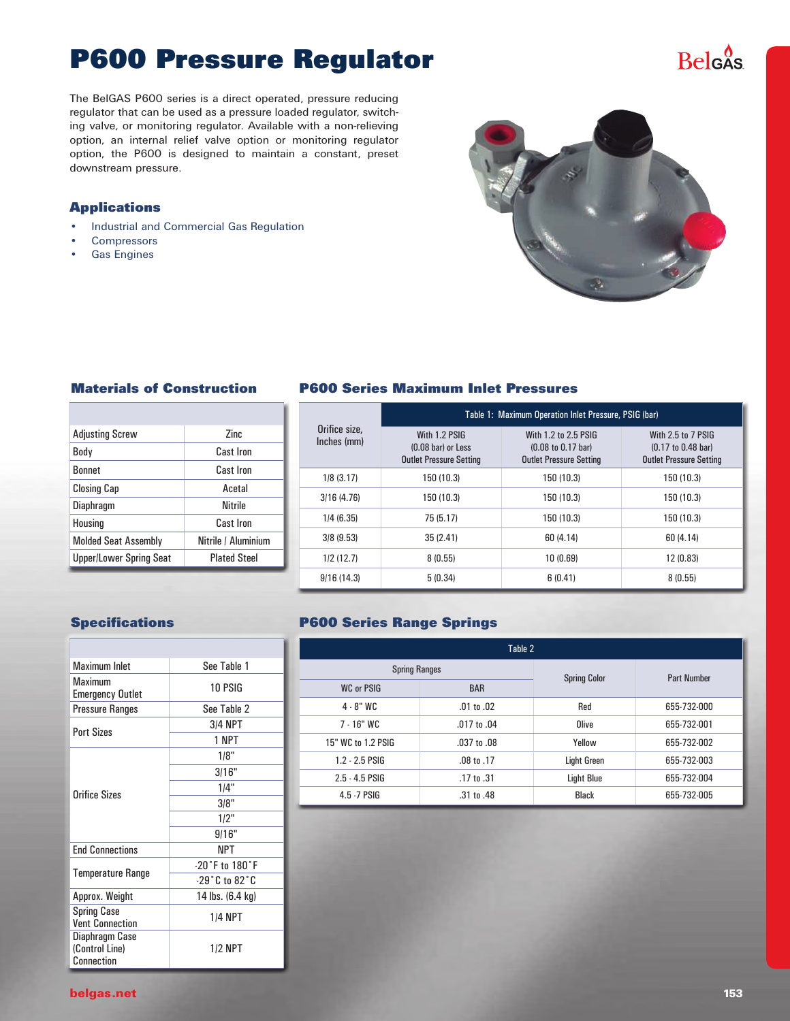# **P600 Pressure Regulator**

The BelGAS P600 series is a direct operated, pressure reducing regulator that can be used as a pressure loaded regulator, switching valve, or monitoring regulator. Available with a non-relieving option, an internal relief valve option or monitoring regulator option, the P600 is designed to maintain a constant, preset downstream pressure.

#### **Applications**

- • Industrial and Commercial Gas Regulation
- **Compressors**
- **Gas Engines**



#### **Materials of Construction**

| <b>Adjusting Screw</b>         | 7inc                |
|--------------------------------|---------------------|
| Body                           | Cast Iron           |
| <b>Bonnet</b>                  | Cast Iron           |
| <b>Closing Cap</b>             | Acetal              |
| Diaphragm                      | <b>Nitrile</b>      |
| Housing                        | <b>Cast Iron</b>    |
| <b>Molded Seat Assembly</b>    | Nitrile / Aluminium |
| <b>Upper/Lower Spring Seat</b> | <b>Plated Steel</b> |
|                                |                     |

#### **P600 Series Maximum Inlet Pressures**

|                              | Table 1: Maximum Operation Inlet Pressure, PSIG (bar)                           |                                                                                                 |                                                                                               |  |  |  |  |  |  |  |
|------------------------------|---------------------------------------------------------------------------------|-------------------------------------------------------------------------------------------------|-----------------------------------------------------------------------------------------------|--|--|--|--|--|--|--|
| Orifice size.<br>Inches (mm) | With 1.2 PSIG<br>$(0.08 \text{ bar})$ or Less<br><b>Outlet Pressure Setting</b> | With 1.2 to 2.5 PSIG<br>$(0.08 \text{ to } 0.17 \text{ bar})$<br><b>Outlet Pressure Setting</b> | With 2.5 to 7 PSIG<br>$(0.17 \text{ to } 0.48 \text{ bar})$<br><b>Outlet Pressure Setting</b> |  |  |  |  |  |  |  |
| 1/8(3.17)                    | 150 (10.3)                                                                      | 150 (10.3)                                                                                      | 150 (10.3)                                                                                    |  |  |  |  |  |  |  |
| 3/16(4.76)                   | 150 (10.3)                                                                      | 150 (10.3)                                                                                      | 150 (10.3)                                                                                    |  |  |  |  |  |  |  |
| 1/4(6.35)                    | 75 (5.17)                                                                       | 150 (10.3)                                                                                      | 150 (10.3)                                                                                    |  |  |  |  |  |  |  |
| 3/8(9.53)                    | 35(2.41)                                                                        | 60 (4.14)                                                                                       | 60 (4.14)                                                                                     |  |  |  |  |  |  |  |
| 1/2(12.7)                    | 8(0.55)                                                                         | 10(0.69)                                                                                        | 12 (0.83)                                                                                     |  |  |  |  |  |  |  |
| 9/16(14.3)                   | 5(0.34)                                                                         | 6(0.41)                                                                                         | 8(0.55)                                                                                       |  |  |  |  |  |  |  |

#### **Specifications**

| <b>Maximum Inlet</b>                           | See Table 1          |  |  |  |  |
|------------------------------------------------|----------------------|--|--|--|--|
| Maximum<br><b>Emergency Outlet</b>             | 10 PSIG              |  |  |  |  |
| Pressure Ranges                                | See Table 2          |  |  |  |  |
| <b>Port Sizes</b>                              | <b>3/4 NPT</b>       |  |  |  |  |
|                                                | 1 NPT                |  |  |  |  |
|                                                | 1/8"                 |  |  |  |  |
|                                                | 3/16"                |  |  |  |  |
| Orifice Sizes                                  | 1/4"                 |  |  |  |  |
|                                                | 3/8"                 |  |  |  |  |
|                                                | 1/2"                 |  |  |  |  |
|                                                | 9/16"                |  |  |  |  |
| <b>End Connections</b>                         | NPT                  |  |  |  |  |
|                                                | $-20°$ F to $180°$ F |  |  |  |  |
| <b>Temperature Range</b>                       | $-29°C$ to $82°C$    |  |  |  |  |
| Approx. Weight                                 | 14 lbs. (6.4 kg)     |  |  |  |  |
| <b>Spring Case</b><br><b>Vent Connection</b>   | <b>1/4 NPT</b>       |  |  |  |  |
| Diaphragm Case<br>(Control Line)<br>Connection | <b>1/2 NPT</b>       |  |  |  |  |

#### **P600 Series Range Springs**

| Table 2              |                 |                     |                    |  |  |  |  |  |  |
|----------------------|-----------------|---------------------|--------------------|--|--|--|--|--|--|
| <b>Spring Ranges</b> |                 | <b>Spring Color</b> | <b>Part Number</b> |  |  |  |  |  |  |
| <b>WC or PSIG</b>    | <b>BAR</b>      |                     |                    |  |  |  |  |  |  |
| $4 - 8"$ WC          | $.01$ to $.02$  | Red                 | 655-732-000        |  |  |  |  |  |  |
| $7 - 16"$ WC         | .017 to .04     | Olive               | 655-732-001        |  |  |  |  |  |  |
| 15" WC to 1.2 PSIG   | $.037$ to $.08$ | Yellow              | 655-732-002        |  |  |  |  |  |  |
| $1.2 - 2.5$ PSIG     | $.08$ to $.17$  | <b>Light Green</b>  | 655-732-003        |  |  |  |  |  |  |
| $2.5 - 4.5$ PSIG     | $.17$ to $.31$  | <b>Light Blue</b>   | 655-732-004        |  |  |  |  |  |  |
| 4.5 - 7 PSIG         | .31 to .48      | <b>Black</b>        | 655-732-005        |  |  |  |  |  |  |

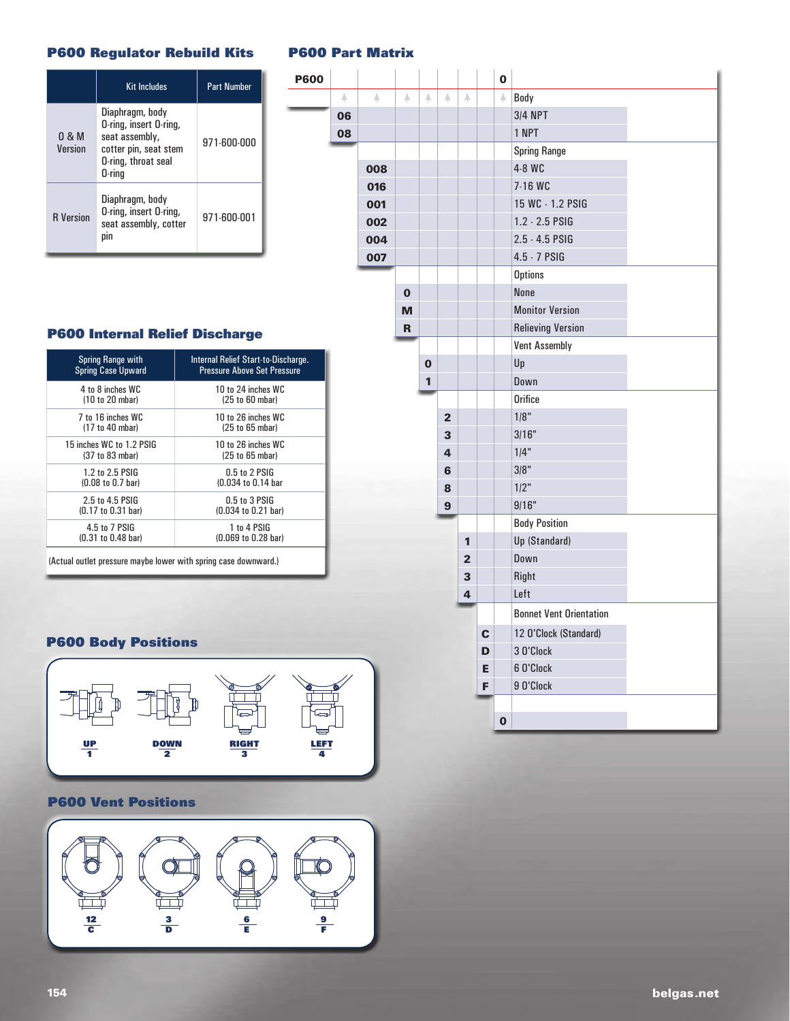#### **P600 Regulator Rebuild Kits**

|                  | <b>Kit Includes</b>                                                                                                   | <b>Part Number</b> |
|------------------|-----------------------------------------------------------------------------------------------------------------------|--------------------|
| 0.8M<br>Version  | Diaphragm, body<br>O-ring, insert O-ring,<br>seat assembly,<br>cotter pin, seat stem<br>O-ring, throat seal<br>0-rina | 971-600-000        |
| <b>R</b> Version | Diaphragm, body<br>O-ring, insert O-ring,<br>seat assembly, cotter<br>DIN                                             | 971-600-001        |

#### **P600 Part Matrix**

**P600** 

|             |             |             |             |                |                |             | 0           |                                |  |
|-------------|-------------|-------------|-------------|----------------|----------------|-------------|-------------|--------------------------------|--|
| $\mathbb A$ | $\mathbb A$ | $\mathbb A$ | $\mathbb A$ | $\mathbb A$    | A              |             | $\mathbb A$ | Body                           |  |
| 06          |             |             |             |                |                |             |             | <b>3/4 NPT</b>                 |  |
| 80          |             |             |             |                |                |             |             | 1 NPT                          |  |
|             |             |             |             |                |                |             |             | <b>Spring Range</b>            |  |
|             | 008         |             |             |                |                |             |             | 4-8 WC                         |  |
|             | 016         |             |             |                |                |             |             | 7-16 WC                        |  |
|             | 001         |             |             |                |                |             |             | 15 WC - 1.2 PSIG               |  |
|             | 002         |             |             |                |                |             |             | 1.2 - 2.5 PSIG                 |  |
|             | 004         |             |             |                |                |             |             | $2.5 - 4.5$ PSIG               |  |
|             | 007         |             |             |                |                |             |             | 4.5 - 7 PSIG                   |  |
|             |             |             |             |                |                |             |             | <b>Options</b>                 |  |
|             |             | $\mathbf 0$ |             |                |                |             |             | None                           |  |
|             |             | M           |             |                |                |             |             | <b>Monitor Version</b>         |  |
|             |             | R           |             |                |                |             |             | <b>Relieving Version</b>       |  |
|             |             |             |             |                |                |             |             | <b>Vent Assembly</b>           |  |
|             |             |             | $\bf{0}$    |                |                |             |             | Up                             |  |
|             |             |             | 1           |                |                |             |             | Down                           |  |
|             |             |             |             |                |                |             |             | <b>Orifice</b>                 |  |
|             |             |             |             | $\overline{2}$ |                |             |             | 1/8"                           |  |
|             |             |             |             | 3              |                |             |             | 3/16"                          |  |
|             |             |             |             | 4              |                |             |             | 1/4"                           |  |
|             |             |             |             | 6              |                |             |             | 3/8"                           |  |
|             |             |             |             | 8              |                |             |             | 1/2"                           |  |
|             |             |             |             | 9              |                |             |             | 9/16"                          |  |
|             |             |             |             |                |                |             |             | <b>Body Position</b>           |  |
|             |             |             |             |                | 1              |             |             | Up (Standard)                  |  |
|             |             |             |             |                | $\overline{2}$ |             |             | Down                           |  |
|             |             |             |             |                | 3              |             |             | Right                          |  |
|             |             |             |             |                | 4              |             |             | Left                           |  |
|             |             |             |             |                |                |             |             | <b>Bonnet Vent Orientation</b> |  |
|             |             |             |             |                |                | $\mathbf c$ |             | 12 O'Clock (Standard)          |  |
|             |             |             |             |                |                | D           |             | 3 O'Clock                      |  |
|             |             |             |             |                |                | E           |             | 6 O'Clock                      |  |
|             |             |             |             |                |                | F           |             | 9 O'Clock                      |  |
|             |             |             |             |                |                |             |             |                                |  |
|             |             |             |             |                |                |             | $\mathbf 0$ |                                |  |

#### **P600 Internal Relief Discharge**

| <b>Spring Range with</b>              | Internal Relief Start-to-Discharge. |
|---------------------------------------|-------------------------------------|
| <b>Spring Case Upward</b>             | <b>Pressure Above Set Pressure</b>  |
| 4 to 8 inches WC                      | 10 to 24 inches WC                  |
| (10 to 20 mbar)                       | (25 to 60 mbar)                     |
| 7 to 16 inches WC                     | 10 to 26 inches WC                  |
| (17 to 40 mbar)                       | (25 to 65 mbar)                     |
| 15 inches WC to 1.2 PSIG              | 10 to 26 inches WC                  |
| (37 to 83 mbar)                       | (25 to 65 mbar)                     |
| 1.2 to 2.5 PSIG                       | $0.5$ to 2 PSIG                     |
| $(0.08 \text{ to } 0.7 \text{ bar})$  | (0.034 to 0.14 bar                  |
| 2.5 to 4.5 PSIG                       | $0.5$ to 3 PSIG                     |
| (0.17 to 0.31 bar)                    | (0.034 to 0.21 bar)                 |
| 4.5 to 7 PSIG                         | 1 to 4 PSIG                         |
| $(0.31 \text{ to } 0.48 \text{ bar})$ | (0.069 to 0.28 bar)                 |

(Actual outlet pressure maybe lower with spring case downward.)

#### **P600 Body Positions**



#### **UP** itior **2 P600 Vent Positions**

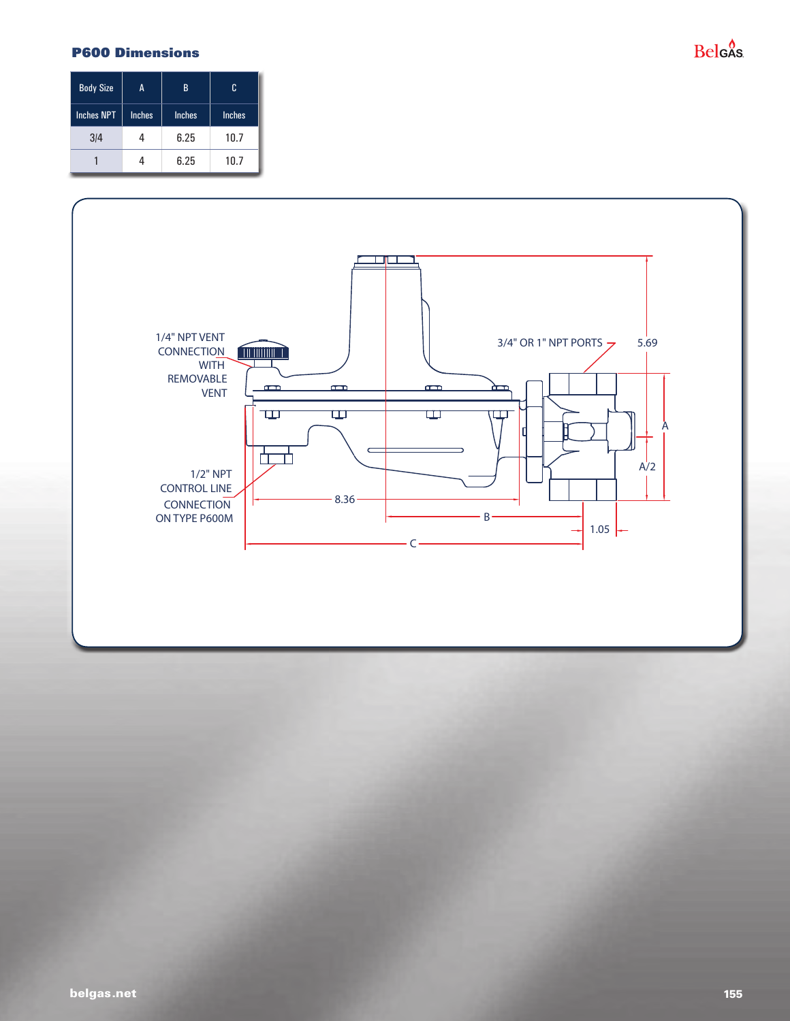#### **P600 Dimensions**

### **Belgas**

| <b>Body Size</b>  | A             | B             | c             |  |
|-------------------|---------------|---------------|---------------|--|
| <b>Inches NPT</b> | <b>Inches</b> | <b>Inches</b> | <b>Inches</b> |  |
| 3/4               |               | 6.25          | 10.7          |  |
|                   |               | 6.25          | 10.7          |  |

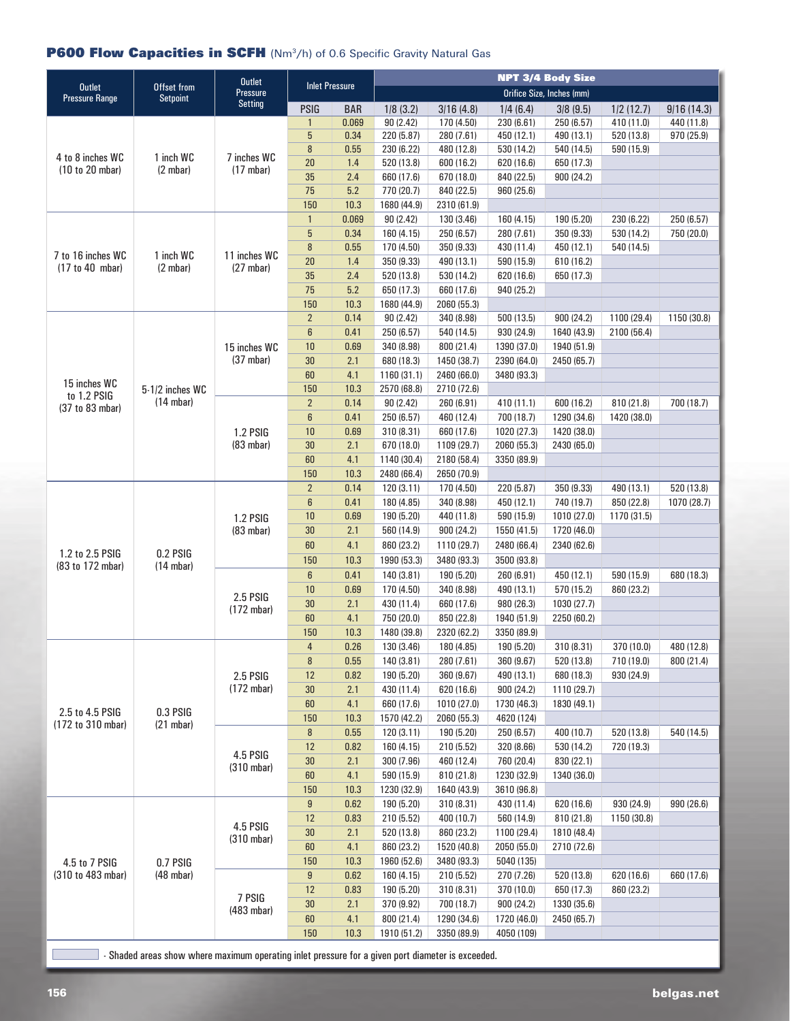### **P600 Flow Capacities in SCFH** (Nm<sup>3</sup>/h) of 0.6 Specific Gravity Natural Gas

|                                                              |                                 | <b>Outlet</b><br>Pressure |                       |              | <b>NPT 3/4 Body Size</b> |                          |                          |                           |                           |             |
|--------------------------------------------------------------|---------------------------------|---------------------------|-----------------------|--------------|--------------------------|--------------------------|--------------------------|---------------------------|---------------------------|-------------|
| <b>Outlet</b><br><b>Pressure Range</b>                       | Offset from<br><b>Setpoint</b>  |                           | <b>Inlet Pressure</b> |              |                          |                          |                          | Orifice Size, Inches (mm) |                           |             |
|                                                              |                                 | <b>Setting</b>            | <b>PSIG</b>           | <b>BAR</b>   | 1/8(3.2)                 | 3/16(4.8)                | 1/4(6.4)                 | 3/8(9.5)                  | 1/2(12.7)                 | 9/16(14.3)  |
|                                                              |                                 |                           | $\mathbf{1}$          | 0.069        | 90(2.42)                 | 170 (4.50)               | 230 (6.61)               | 250 (6.57)                | 410 (11.0)                | 440 (11.8)  |
| 4 to 8 inches WC<br>1 inch WC<br>(10 to 20 mbar)<br>(2 mbar) |                                 |                           | 5                     | 0.34         | 220 (5.87)               | 280 (7.61)               | 450 (12.1)               | 490 (13.1)                | 520 (13.8)                | 970 (25.9)  |
|                                                              |                                 | 7 inches WC               | $\boldsymbol{8}$      | 0.55         | 230 (6.22)               | 480 (12.8)               | 530 (14.2)               | 540 (14.5)                | 590 (15.9)                |             |
|                                                              |                                 | (17 mbar)                 | 20                    | 1.4          | 520 (13.8)               | 600 (16.2)               | 620 (16.6)               | 650 (17.3)                |                           |             |
|                                                              |                                 |                           | 35<br>75              | 2.4<br>5.2   | 660 (17.6)<br>770 (20.7) | 670 (18.0)<br>840 (22.5) | 840 (22.5)               | 900 (24.2)                |                           |             |
|                                                              |                                 |                           | 150                   | 10.3         | 1680 (44.9)              | 2310 (61.9)              | 960 (25.6)               |                           |                           |             |
|                                                              |                                 | $\mathbf{1}$              | 0.069                 | 90(2.42)     | 130 (3.46)               | 160 (4.15)               | 190 (5.20)               | 230 (6.22)                | 250 (6.57)                |             |
|                                                              |                                 |                           | 5                     | 0.34         | 160 (4.15)               | 250 (6.57)               | 280 (7.61)               | 350 (9.33)                | 530 (14.2)                | 750 (20.0)  |
|                                                              |                                 |                           | 8                     | 0.55         | 170 (4.50)               | 350 (9.33)               | 430 (11.4)               | 450 (12.1)                | 540 (14.5)                |             |
| 7 to 16 inches WC                                            | 1 inch WC                       | 11 inches WC              | 20                    | 1.4          | 350 (9.33)               | 490 (13.1)               | 590 (15.9)               | 610 (16.2)                |                           |             |
| (17 to 40 mbar)                                              | (2 mbar)                        | $(27 \text{ mbar})$       | 35                    | 2.4          | 520 (13.8)               | 530 (14.2)               | 620 (16.6)               | 650 (17.3)                |                           |             |
|                                                              |                                 |                           | 75                    | 5.2          | 650 (17.3)               | 660 (17.6)               | 940 (25.2)               |                           |                           |             |
|                                                              |                                 |                           | 150                   | 10.3         | 1680 (44.9)              | 2060 (55.3)              |                          |                           |                           |             |
|                                                              |                                 |                           | $\overline{2}$        | 0.14         | 90(2.42)                 | 340 (8.98)               | 500 (13.5)               | 900 (24.2)                | 1100 (29.4)               | 1150 (30.8) |
|                                                              |                                 |                           | $6\phantom{1}$        | 0.41         | 250 (6.57)               | 540 (14.5)               | 930 (24.9)               | 1640 (43.9)               | 2100 (56.4)               |             |
|                                                              |                                 | 15 inches WC              | 10                    | 0.69         | 340 (8.98)               | 800 (21.4)               | 1390 (37.0)              | 1940 (51.9)               |                           |             |
|                                                              |                                 | (37 mbar)                 | 30                    | 2.1          | 680 (18.3)               | 1450 (38.7)              | 2390 (64.0)              | 2450 (65.7)               |                           |             |
|                                                              |                                 |                           | 60                    | 4.1          | 1160 (31.1)              | 2460 (66.0)              | 3480 (93.3)              |                           |                           |             |
| 15 inches WC<br>to 1.2 PSIG                                  | 5-1/2 inches WC                 |                           | 150                   | 10.3         | 2570 (68.8)              | 2710 (72.6)              |                          |                           |                           |             |
| (37 to 83 mbar)                                              | $(14 \text{ mbar})$             |                           | $\overline{2}$        | 0.14         | 90(2.42)                 | 260 (6.91)               | 410 (11.1)               | 600 (16.2)                | 810 (21.8)                | 700 (18.7)  |
|                                                              |                                 |                           | $6\phantom{1}$        | 0.41         | 250 (6.57)               | 460 (12.4)               | 700 (18.7)               | 1290 (34.6)               | 1420 (38.0)               |             |
|                                                              |                                 | <b>1.2 PSIG</b>           | 10                    | 0.69         | 310 (8.31)               | 660 (17.6)               | 1020 (27.3)              | 1420 (38.0)               |                           |             |
|                                                              |                                 | (83 mbar)                 | 30                    | 2.1          | 670 (18.0)               | 1109 (29.7)              | 2060 (55.3)              | 2430 (65.0)               |                           |             |
|                                                              |                                 |                           | 60                    | 4.1          | 1140 (30.4)              | 2180 (58.4)              | 3350 (89.9)              |                           |                           |             |
|                                                              |                                 |                           | 150                   | 10.3         | 2480 (66.4)              | 2650 (70.9)              |                          |                           |                           |             |
|                                                              |                                 |                           | $\overline{2}$        | 0.14         | 120(3.11)                | 170 (4.50)               | 220 (5.87)               | 350 (9.33)                | 490 (13.1)                | 520 (13.8)  |
|                                                              |                                 |                           | $6\phantom{1}$        | 0.41         | 180 (4.85)               | 340 (8.98)               | 450 (12.1)               | 740 (19.7)                | 850 (22.8)                | 1070 (28.7) |
|                                                              |                                 | <b>1.2 PSIG</b>           | 10                    | 0.69         | 190 (5.20)               | 440 (11.8)               | 590 (15.9)               | 1010 (27.0)               | 1170 (31.5)               |             |
|                                                              |                                 | (83 mbar)                 | 30                    | 2.1          | 560 (14.9)               | 900 (24.2)               | 1550 (41.5)              | 1720 (46.0)               |                           |             |
| 1.2 to 2.5 PSIG                                              | 0.2 PSIG                        |                           | 60                    | 4.1          | 860 (23.2)               | 1110 (29.7)              | 2480 (66.4)              | 2340 (62.6)               |                           |             |
| (83 to 172 mbar)                                             | (14 mbar)                       |                           | 150                   | 10.3         | 1990 (53.3)              | 3480 (93.3)              | 3500 (93.8)              |                           |                           |             |
|                                                              |                                 |                           | $6\phantom{1}$        | 0.41         | 140 (3.81)               | 190 (5.20)               | 260 (6.91)               | 450 (12.1)                | 590 (15.9)                | 680 (18.3)  |
|                                                              |                                 | 2.5 PSIG                  | 10                    | 0.69         | 170 (4.50)               | 340 (8.98)               | 490 (13.1)               | 570 (15.2)                | 860 (23.2)                |             |
|                                                              |                                 | (172 mbar)                | 30                    | 2.1          | 430 (11.4)               | 660 (17.6)               | 980 (26.3)               | 1030 (27.7)               |                           |             |
|                                                              |                                 |                           | 60                    | 4.1          | 750 (20.0)               | 850 (22.8)               | 1940 (51.9)              | 2250 (60.2)               |                           |             |
|                                                              |                                 |                           | 150                   | 10.3         | 1480 (39.8)              | 2320 (62.2)              | 3350 (89.9)              |                           |                           |             |
|                                                              |                                 |                           | $\overline{4}$        | 0.26         | 130 (3.46)               | 180 (4.85)               | 190 (5.20)               | 310 (8.31)                | 370 (10.0)                | 480 (12.8)  |
|                                                              |                                 |                           | 8                     | 0.55         | 140 (3.81)               | 280 (7.61)               | 360 (9.67)               | 520 (13.8)                | 710 (19.0)                | 800 (21.4)  |
|                                                              |                                 | 2.5 PSIG                  | 12                    | 0.82         | 190 (5.20)               | 360 (9.67)               | 490 (13.1)               | 680 (18.3)                | 930 (24.9)                |             |
|                                                              |                                 | (172 mbar)                | 30                    | 2.1          | 430 (11.4)               | 620 (16.6)               | 900 (24.2)               | 1110 (29.7)               |                           |             |
| 2.5 to 4.5 PSIG                                              | 0.3 PSIG                        |                           | 60                    | 4.1          | 660 (17.6)               | 1010 (27.0)              | 1730 (46.3)              | 1830 (49.1)               |                           |             |
| (172 to 310 mbar)                                            | (21 mbar)                       |                           | 150                   | 10.3         | 1570 (42.2)              | 2060 (55.3)              | 4620 (124)               |                           |                           |             |
|                                                              |                                 |                           | $\, 8$                | 0.55         | 120 (3.11)               | 190 (5.20)               | 250 (6.57)               | 400 (10.7)                | 520 (13.8)                | 540 (14.5)  |
|                                                              |                                 | 4.5 PSIG                  | 12                    | 0.82         | 160 (4.15)               | 210 (5.52)               | 320 (8.66)               | 530 (14.2)                | 720 (19.3)                |             |
|                                                              |                                 | (310 mbar)                | 30                    | 2.1          | 300 (7.96)               | 460 (12.4)               | 760 (20.4)               | 830 (22.1)                |                           |             |
|                                                              |                                 |                           | 60                    | 4.1          | 590 (15.9)               | 810 (21.8)               | 1230 (32.9)              | 1340 (36.0)               |                           |             |
|                                                              |                                 |                           | 150<br>$9\,$          | 10.3<br>0.62 | 1230 (32.9)              | 1640 (43.9)              | 3610 (96.8)              |                           |                           |             |
|                                                              |                                 |                           | 12                    | 0.83         | 190 (5.20)<br>210 (5.52) | 310 (8.31)<br>400 (10.7) | 430 (11.4)<br>560 (14.9) | 620 (16.6)<br>810 (21.8)  | 930 (24.9)<br>1150 (30.8) | 990 (26.6)  |
|                                                              |                                 | 4.5 PSIG                  | 30                    | 2.1          | 520 (13.8)               | 860 (23.2)               | 1100 (29.4)              | 1810 (48.4)               |                           |             |
|                                                              |                                 | (310 mbar)                | 60                    | 4.1          | 860 (23.2)               | 1520 (40.8)              | 2050 (55.0)              | 2710 (72.6)               |                           |             |
|                                                              |                                 |                           | 150                   | 10.3         | 1960 (52.6)              | 3480 (93.3)              | 5040 (135)               |                           |                           |             |
| 4.5 to 7 PSIG<br>(310 to 483 mbar)                           | 0.7 PSIG<br>$(48 \text{ mbar})$ |                           | $9\,$                 | 0.62         | 160 (4.15)               | 210 (5.52)               | 270 (7.26)               | 520 (13.8)                | 620 (16.6)                | 660 (17.6)  |
|                                                              |                                 |                           | 12                    |              |                          |                          |                          |                           |                           |             |
|                                                              |                                 | 7 PSIG                    | 30                    | 0.83         | 190 (5.20)               | 310 (8.31)               | 370 (10.0)               | 650 (17.3)                | 860 (23.2)                |             |
|                                                              |                                 | (483 mbar)                |                       | 2.1          | 370 (9.92)               | 700 (18.7)               | 900 (24.2)               | 1330 (35.6)               |                           |             |
|                                                              |                                 |                           | 60<br>150             | 4.1          | 800 (21.4)               | 1290 (34.6)              | 1720 (46.0)              | 2450 (65.7)               |                           |             |
|                                                              |                                 |                           |                       | 10.3         | 1910 (51.2)              | 3350 (89.9)              | 4050 (109)               |                           |                           |             |

**Example 2** - Shaded areas show where maximum operating inlet pressure for a given port diameter is exceeded.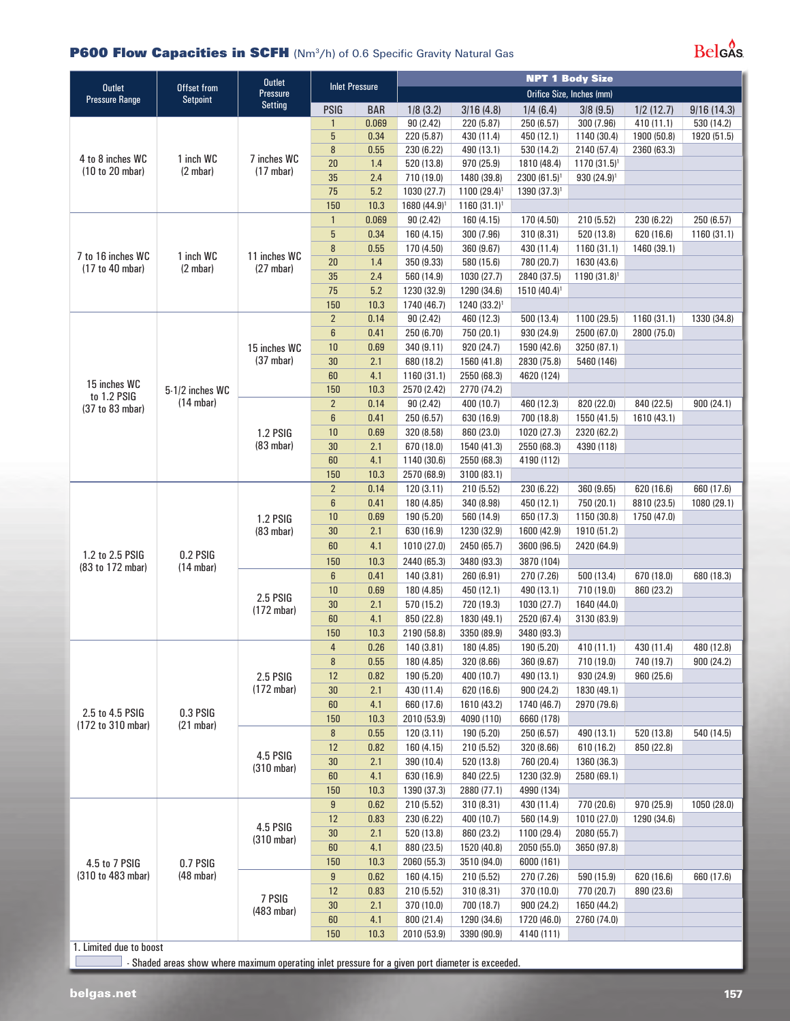#### **P600 Flow Capacities in SCFH** (Nm<sup>3</sup>/h) of 0.6 Specific Gravity Natural Gas

## $Bels<sup>0</sup>$

|                                        |                                        | <b>Outlet</b>            |                        | <b>NPT 1 Body Size</b> |                            |                           |                          |                           |                           |             |  |
|----------------------------------------|----------------------------------------|--------------------------|------------------------|------------------------|----------------------------|---------------------------|--------------------------|---------------------------|---------------------------|-------------|--|
| <b>Outlet</b><br><b>Pressure Range</b> | Offset from<br><b>Setpoint</b>         | Pressure                 | <b>Inlet Pressure</b>  |                        |                            |                           |                          | Orifice Size, Inches (mm) |                           |             |  |
|                                        |                                        | <b>Setting</b>           | <b>PSIG</b>            | <b>BAR</b>             | 1/8(3.2)                   | 3/16(4.8)                 | 1/4(6.4)                 | 3/8(9.5)                  | 1/2(12.7)                 | 9/16(14.3)  |  |
|                                        |                                        |                          | $\mathbf{1}$           | 0.069                  | 90 (2.42)                  | 220 (5.87)                | 250 (6.57)               | 300 (7.96)                | 410 (11.1)                | 530 (14.2)  |  |
|                                        |                                        |                          | $5\phantom{.0}$        | 0.34                   | 220 (5.87)                 | 430 (11.4)                | 450 (12.1)               | 1140 (30.4)               | 1900 (50.8)               | 1920 (51.5) |  |
| 4 to 8 inches WC<br>(10 to 20 mbar)    |                                        |                          | $\bf 8$                | 0.55                   | 230 (6.22)                 | 490 (13.1)                | 530 (14.2)               | 2140 (57.4)               | 2360 (63.3)               |             |  |
|                                        | 1 inch WC<br>(2 mbar)                  | 7 inches WC<br>(17 mbar) | 20                     | 1.4                    | 520 (13.8)                 | 970 (25.9)                | 1810 (48.4)              | $1170(31.5)^{1}$          |                           |             |  |
|                                        |                                        |                          | 35                     | 2.4                    | 710 (19.0)                 | 1480 (39.8)               | $2300(61.5)^{1}$         | $930(24.9)^1$             |                           |             |  |
|                                        |                                        |                          | 75                     | 5.2                    | 1030 (27.7)                | $1100(29.4)^{1}$          | 1390 (37.3) <sup>1</sup> |                           |                           |             |  |
|                                        |                                        |                          | 150                    | 10.3                   | 1680 (44.9) <sup>1</sup>   | $1160(31.1)^1$            |                          |                           |                           |             |  |
|                                        |                                        |                          | $\mathbf{1}$           | 0.069                  | 90 (2.42)                  | 160 (4.15)                | 170 (4.50)               | 210 (5.52)                | 230 (6.22)                | 250 (6.57)  |  |
|                                        |                                        |                          | 5                      | 0.34                   | 160 (4.15)                 | 300 (7.96)                | 310 (8.31)               | 520 (13.8)                | 620 (16.6)                | 1160 (31.1) |  |
| 7 to 16 inches WC                      | 1 inch WC                              | 11 inches WC             | 8                      | 0.55                   | 170 (4.50)                 | 360 (9.67)                | 430 (11.4)               | 1160(31.1)                | 1460 (39.1)               |             |  |
| (17 to 40 mbar)                        | (2 mbar)                               | $(27 \text{ mbar})$      | 20                     | 1.4                    | 350 (9.33)                 | 580 (15.6)                | 780 (20.7)               | 1630 (43.6)               |                           |             |  |
|                                        |                                        |                          | 35                     | 2.4                    | 560 (14.9)                 | 1030 (27.7)               | 2840 (37.5)              | $1190 (31.8)^1$           |                           |             |  |
|                                        |                                        |                          | 75                     | 5.2                    | 1230 (32.9)                | 1290 (34.6)               | 1510 (40.4) <sup>1</sup> |                           |                           |             |  |
|                                        |                                        |                          | 150                    | 10.3                   | 1740 (46.7)                | 1240 (33.2) <sup>1</sup>  |                          |                           |                           |             |  |
|                                        |                                        |                          | $\overline{2}$         | 0.14                   | 90 (2.42)                  | 460 (12.3)                | 500 (13.4)               | 1100 (29.5)               | 1160 (31.1)               | 1330 (34.8) |  |
|                                        |                                        |                          | $\boldsymbol{6}$       | 0.41                   | 250 (6.70)                 | 750 (20.1)                | 930 (24.9)               | 2500 (67.0)               | 2800 (75.0)               |             |  |
|                                        |                                        | 15 inches WC             | 10                     | 0.69                   | 340 (9.11)                 | 920 (24.7)                | 1590 (42.6)              | 3250 (87.1)               |                           |             |  |
|                                        |                                        | $(37 \text{ mbar})$      | 30                     | 2.1                    | 680 (18.2)                 | 1560 (41.8)               | 2830 (75.8)              | 5460 (146)                |                           |             |  |
| 15 inches WC                           |                                        |                          | 60                     | 4.1                    | 1160 (31.1)<br>2570 (2.42) | 2550 (68.3)               | 4620 (124)               |                           |                           |             |  |
| to 1.2 PSIG                            | 5-1/2 inches WC<br>$(14 \text{ mbar})$ |                          | 150<br>$\overline{2}$  | 10.3<br>0.14           | 90 (2.42)                  | 2770 (74.2)<br>400 (10.7) | 460 (12.3)               | 820 (22.0)                | 840 (22.5)                | 900 (24.1)  |  |
| (37 to 83 mbar)                        |                                        |                          | $6\phantom{1}$         | 0.41                   | 250 (6.57)                 | 630 (16.9)                | 700 (18.8)               | 1550 (41.5)               | 1610 (43.1)               |             |  |
|                                        |                                        | <b>1.2 PSIG</b>          | 10                     | 0.69                   | 320 (8.58)                 | 860 (23.0)                | 1020 (27.3)              | 2320 (62.2)               |                           |             |  |
|                                        |                                        | (83 mbar)                | 30                     | 2.1                    | 670 (18.0)                 | 1540 (41.3)               | 2550 (68.3)              | 4390 (118)                |                           |             |  |
|                                        |                                        |                          | 60                     | 4.1                    | 1140 (30.6)                | 2550 (68.3)               | 4190 (112)               |                           |                           |             |  |
|                                        |                                        |                          | 150                    | 10.3                   | 2570 (68.9)                | 3100 (83.1)               |                          |                           |                           |             |  |
|                                        |                                        |                          | $\overline{2}$         | 0.14                   | 120(3.11)                  | 210 (5.52)                | 230 (6.22)               | 360 (9.65)                | 620 (16.6)                | 660 (17.6)  |  |
|                                        |                                        |                          | $\boldsymbol{6}$       | 0.41                   | 180 (4.85)                 | 340 (8.98)                | 450 (12.1)               | 750 (20.1)                | 8810 (23.5)               | 1080 (29.1) |  |
|                                        |                                        | <b>1.2 PSIG</b>          | 10                     | 0.69                   | 190 (5.20)                 | 560 (14.9)                | 650 (17.3)               | 1150 (30.8)               | 1750 (47.0)               |             |  |
|                                        |                                        | (83 mbar)                | 30                     | 2.1                    | 630 (16.9)                 | 1230 (32.9)               | 1600 (42.9)              | 1910 (51.2)               |                           |             |  |
|                                        |                                        |                          | 60                     | 4.1                    | 1010 (27.0)                | 2450 (65.7)               | 3600 (96.5)              | 2420 (64.9)               |                           |             |  |
| 1.2 to 2.5 PSIG<br>(83 to 172 mbar)    | 0.2 PSIG<br>$(14 \text{ mbar})$        |                          | 150                    | 10.3                   | 2440 (65.3)                | 3480 (93.3)               | 3870 (104)               |                           |                           |             |  |
|                                        |                                        |                          | 6                      | 0.41                   | 140 (3.81)                 | 260 (6.91)                | 270 (7.26)               | 500 (13.4)                | 670 (18.0)                | 680 (18.3)  |  |
|                                        |                                        |                          | 10                     | 0.69                   | 180 (4.85)                 | 450 (12.1)                | 490 (13.1)               | 710 (19.0)                | 860 (23.2)                |             |  |
|                                        |                                        | 2.5 PSIG<br>(172 mbar)   | 30                     | 2.1                    | 570 (15.2)                 | 720 (19.3)                | 1030 (27.7)              | 1640 (44.0)               |                           |             |  |
|                                        |                                        |                          | 60                     | 4.1                    | 850 (22.8)                 | 1830 (49.1)               | 2520 (67.4)              | 3130 (83.9)               |                           |             |  |
|                                        |                                        |                          | 150                    | 10.3                   | 2190 (58.8)                | 3350 (89.9)               | 3480 (93.3)              |                           |                           |             |  |
|                                        |                                        |                          | $\overline{4}$         | 0.26                   | 140 (3.81)                 | 180 (4.85)                | 190 (5.20)               | 410 (11.1)                | 430 (11.4)                | 480 (12.8)  |  |
|                                        |                                        |                          | 8                      | 0.55                   | 180 (4.85)                 | 320 (8.66)                | 360 (9.67)               | 710 (19.0)                | 740 (19.7)                | 900 (24.2)  |  |
|                                        |                                        | 2.5 PSIG                 | 12                     | 0.82                   | 190 (5.20)                 | 400 (10.7)                | 490 (13.1)               | 930 (24.9)                | 960 (25.6)                |             |  |
|                                        |                                        | (172 mbar)               | 30                     | 2.1                    | 430 (11.4)                 | 620 (16.6)                | 900 (24.2)               | 1830 (49.1)               |                           |             |  |
| 2.5 to 4.5 PSIG                        | 0.3 PSIG                               |                          | 60                     | 4.1                    | 660 (17.6)                 | 1610 (43.2)               | 1740 (46.7)              | 2970 (79.6)               |                           |             |  |
| (172 to 310 mbar)                      | (21 mbar)                              |                          | 150                    | 10.3                   | 2010 (53.9)                | 4090 (110)                | 6660 (178)               |                           |                           |             |  |
|                                        |                                        |                          | 8                      | 0.55                   | 120(3.11)                  | 190 (5.20)                | 250 (6.57)               | 490 (13.1)                | 520 (13.8)                | 540 (14.5)  |  |
|                                        |                                        | 4.5 PSIG                 | 12                     | 0.82                   | 160 (4.15)                 | 210 (5.52)                | 320 (8.66)               | 610 (16.2)                | 850 (22.8)                |             |  |
|                                        |                                        | $(310 \text{ mbar})$     | 30                     | 2.1                    | 390 (10.4)                 | 520 (13.8)                | 760 (20.4)               | 1360 (36.3)               |                           |             |  |
|                                        |                                        |                          | 60                     | 4.1                    | 630 (16.9)                 | 840 (22.5)                | 1230 (32.9)              | 2580 (69.1)               |                           |             |  |
|                                        |                                        |                          | 150                    | 10.3                   | 1390 (37.3)<br>210 (5.52)  | 2880 (77.1)               | 4990 (134)               |                           |                           |             |  |
|                                        |                                        |                          | $\boldsymbol{9}$<br>12 | 0.62<br>0.83           | 230 (6.22)                 | 310 (8.31)<br>400 (10.7)  | 430 (11.4)<br>560 (14.9) | 770 (20.6)<br>1010 (27.0) | 970 (25.9)<br>1290 (34.6) | 1050 (28.0) |  |
|                                        |                                        | 4.5 PSIG                 | 30                     | 2.1                    | 520 (13.8)                 | 860 (23.2)                | 1100 (29.4)              | 2080 (55.7)               |                           |             |  |
|                                        |                                        | (310 mbar)               | 60                     | 4.1                    | 880 (23.5)                 | 1520 (40.8)               | 2050 (55.0)              | 3650 (97.8)               |                           |             |  |
| 4.5 to 7 PSIG                          | 0.7 PSIG                               |                          | 150                    | 10.3                   | 2060 (55.3)                | 3510 (94.0)               | 6000 (161)               |                           |                           |             |  |
| (310 to 483 mbar)                      | $(48 \text{ mbar})$                    |                          | 9                      | 0.62                   | 160 (4.15)                 | 210 (5.52)                | 270 (7.26)               | 590 (15.9)                | 620 (16.6)                | 660 (17.6)  |  |
|                                        |                                        |                          | 12                     | 0.83                   | 210 (5.52)                 | 310 (8.31)                | 370 (10.0)               | 770 (20.7)                | 890 (23.6)                |             |  |
|                                        |                                        | 7 PSIG                   | 30                     | 2.1                    | 370 (10.0)                 | 700 (18.7)                | 900 (24.2)               | 1650 (44.2)               |                           |             |  |
|                                        |                                        | (483 mbar)               | 60                     | 4.1                    | 800 (21.4)                 | 1290 (34.6)               | 1720 (46.0)              | 2760 (74.0)               |                           |             |  |
|                                        |                                        |                          |                        | 150                    | 10.3                       | 2010 (53.9)               | 3390 (90.9)              | 4140 (111)                |                           |             |  |

1. Limited due to boost

 $\Box$  - Shaded areas show where maximum operating inlet pressure for a given port diameter is exceeded.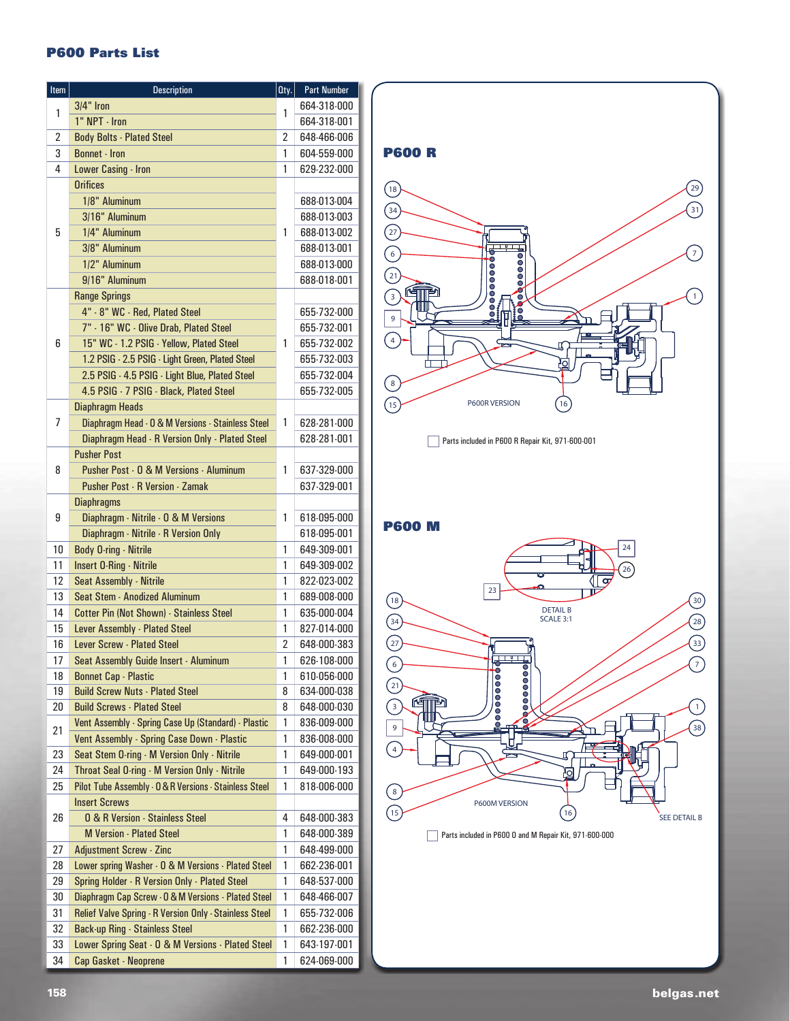#### **P600 Parts List**

| Item | <b>Description</b>                                                    | $0$ ty.        | <b>Part Number</b> |
|------|-----------------------------------------------------------------------|----------------|--------------------|
| 1    | $3/4"$ Iron                                                           | 1              | 664-318-000        |
|      | 1" NPT - Iron                                                         |                | 664-318-001        |
| 2    | <b>Body Bolts - Plated Steel</b>                                      | 2              | 648-466-006        |
| 3    | <b>Bonnet - Iron</b>                                                  | 1              | 604-559-000        |
| 4    | Lower Casing - Iron                                                   | 1              | 629-232-000        |
|      | <b>Orifices</b>                                                       |                |                    |
|      | 1/8" Aluminum                                                         |                | 688-013-004        |
|      | 3/16" Aluminum                                                        |                | 688-013-003        |
| 5    | 1/4" Aluminum                                                         | 1              | 688-013-002        |
|      | 3/8" Aluminum                                                         |                | 688-013-001        |
|      |                                                                       |                |                    |
|      | 1/2" Aluminum                                                         |                | 688-013-000        |
|      | 9/16" Aluminum                                                        |                | 688-018-001        |
|      | <b>Range Springs</b>                                                  |                |                    |
|      | 4" - 8" WC - Red, Plated Steel                                        |                | 655-732-000        |
|      | 7" - 16" WC - Olive Drab, Plated Steel                                |                | 655-732-001        |
| 6    | 15" WC - 1.2 PSIG - Yellow, Plated Steel                              | 1              | 655 732 002        |
|      | 1.2 PSIG - 2.5 PSIG - Light Green, Plated Steel                       |                | 655 732 003        |
|      | 2.5 PSIG - 4.5 PSIG - Light Blue, Plated Steel                        |                | 655-732-004        |
|      | 4.5 PSIG - 7 PSIG - Black, Plated Steel                               |                | 655 732 005        |
|      | <b>Diaphragm Heads</b>                                                |                |                    |
| 7    | Diaphragm Head - 0 & M Versions - Stainless Steel                     | 1              | 628-281-000        |
|      | Diaphragm Head - R Version Only - Plated Steel                        |                | 628-281-001        |
|      | <b>Pusher Post</b>                                                    |                |                    |
| 8    | Pusher Post - 0 & M Versions - Aluminum                               | 1              | 637-329-000        |
|      | <b>Pusher Post - R Version - Zamak</b>                                |                | 637-329-001        |
|      | <b>Diaphragms</b>                                                     |                |                    |
| 9    | Diaphragm - Nitrile - 0 & M Versions                                  | 1              | 618-095-000        |
|      | Diaphragm - Nitrile - R Version Only                                  |                | 618-095-001        |
| 10   | <b>Body O-ring - Nitrile</b>                                          | 1              | 649-309-001        |
| 11   | <b>Insert O-Ring - Nitrile</b>                                        | 1              | 649-309-002        |
| 12   | Seat Assembly - Nitrile                                               | 1              | 822-023-002        |
| 13   | <b>Seat Stem - Anodized Aluminum</b>                                  | 1              | 689-008-000        |
| 14   | <b>Cotter Pin (Not Shown) - Stainless Steel</b>                       | 1              | 635-000-004        |
| 15   | Lever Assembly - Plated Steel                                         | 1              | 827-014-000        |
| 16   | Lever Screw - Plated Steel                                            | $\overline{2}$ | 648-000-383        |
| 17   | Seat Assembly Guide Insert - Aluminum                                 | 1              | 626-108-000        |
|      |                                                                       | 1              |                    |
| 18   | <b>Bonnet Cap - Plastic</b><br><b>Build Screw Nuts - Plated Steel</b> |                | 610-056-000        |
| 19   |                                                                       | 8              | 634 000 038        |
| 20   | <b>Build Screws - Plated Steel</b>                                    | 8              | 648-000-030        |
| 21   | Vent Assembly - Spring Case Up (Standard) - Plastic                   | 1<br>1         | 836-009-000        |
|      | Vent Assembly - Spring Case Down - Plastic                            |                | 836-008-000        |
| 23   | Seat Stem O-ring - M Version Only - Nitrile                           | 1              | 649-000-001        |
| 24   | Throat Seal O-ring - M Version Only - Nitrile                         | 1              | 649-000-193        |
| 25   | Pilot Tube Assembly - 0 & R Versions - Stainless Steel                | 1              | 818-006-000        |
|      | <b>Insert Screws</b>                                                  |                |                    |
| 26   | <b>0 &amp; R Version - Stainless Steel</b>                            | 4              | 648-000-383        |
|      | <b>M Version - Plated Steel</b>                                       | 1              | 648-000-389        |
| 27   | <b>Adjustment Screw - Zinc</b>                                        | 1              | 648-499-000        |
| 28   | Lower spring Washer - 0 & M Versions - Plated Steel                   | 1              | 662-236-001        |
| 29   | Spring Holder - R Version Only - Plated Steel                         | 1              | 648-537-000        |
| 30   | Diaphragm Cap Screw - 0 & M Versions - Plated Steel                   | 1              | 648-466-007        |
| 31   | Relief Valve Spring - R Version Only - Stainless Steel                | 1              | 655-732-006        |
| 32   | <b>Back-up Ring - Stainless Steel</b>                                 | 1              | 662-236-000        |
| 33   | Lower Spring Seat - 0 & M Versions - Plated Steel                     | 1              | 643-197-001        |
| 34   | Cap Gasket - Neoprene                                                 | 1              | 624-069-000        |



Parts included in P600 R Repair Kit, 971-600-001

**P600 M**



Parts included in P600 O and M Repair Kit, 971-600-000